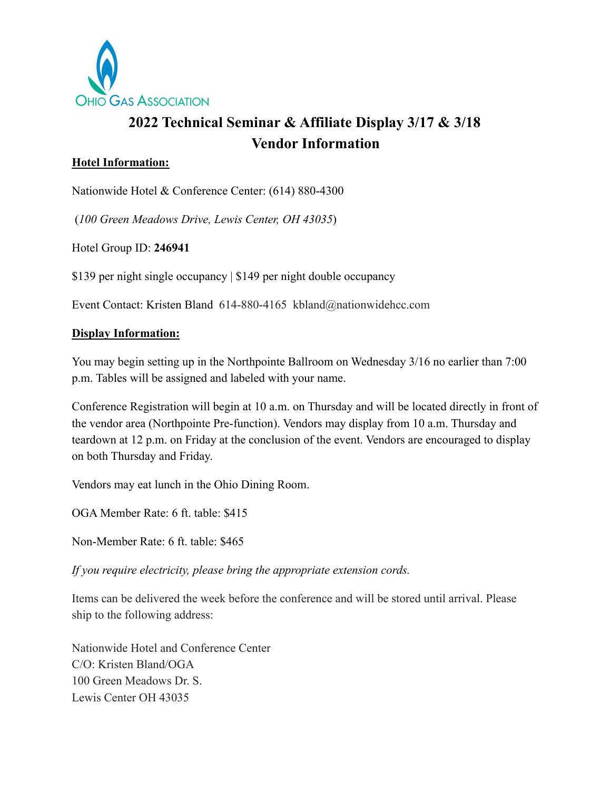

# **2022 Technical Seminar & Affiliate Display 3/17 & 3/18 Vendor Information**

### **Hotel Information:**

Nationwide Hotel & Conference Center: (614) 880-4300

(*100 Green Meadows Drive, Lewis Center, OH 43035*)

Hotel Group ID: **246941**

\$139 per night single occupancy | \$149 per night double occupancy

Event Contact: Kristen Bland 614-880-4165 [kbland@nationwidehcc.com](mailto:kbland@nationwidehcc.com)

#### **Display Information:**

You may begin setting up in the Northpointe Ballroom on Wednesday 3/16 no earlier than 7:00 p.m. Tables will be assigned and labeled with your name.

Conference Registration will begin at 10 a.m. on Thursday and will be located directly in front of the vendor area (Northpointe Pre-function). Vendors may display from 10 a.m. Thursday and teardown at 12 p.m. on Friday at the conclusion of the event. Vendors are encouraged to display on both Thursday and Friday.

Vendors may eat lunch in the Ohio Dining Room.

OGA Member Rate: 6 ft. table: \$415

Non-Member Rate: 6 ft. table: \$465

*If you require electricity, please bring the appropriate extension cords.*

Items can be delivered the week before the conference and will be stored until arrival. Please ship to the following address:

Nationwide Hotel and Conference Center C/O: Kristen Bland/OGA 100 Green Meadows Dr. S. Lewis Center OH 43035